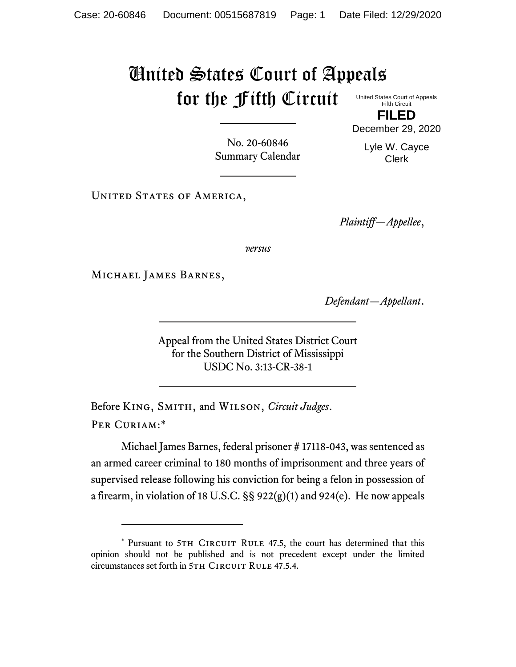## United States Court of Appeals for the Fifth Circuit

United States Court of Appeals Fifth Circuit **FILED**

December 29, 2020

No. 20-60846 Summary Calendar

Lyle W. Cayce Clerk

UNITED STATES OF AMERICA,

*Plaintiff—Appellee*,

*versus*

Michael James Barnes,

*Defendant—Appellant*.

Appeal from the United States District Court for the Southern District of Mississippi USDC No. 3:13-CR-38-1

Before King, Smith, and Wilson, *Circuit Judges*. Per Curiam:\*

Michael James Barnes, federal prisoner # 17118-043, was sentenced as an armed career criminal to 180 months of imprisonment and three years of supervised release following his conviction for being a felon in possession of a firearm, in violation of 18 U.S.C. §§ 922(g)(1) and 924(e). He now appeals

<sup>\*</sup> Pursuant to 5TH CIRCUIT RULE 47.5, the court has determined that this opinion should not be published and is not precedent except under the limited circumstances set forth in 5TH CIRCUIT RULE 47.5.4.